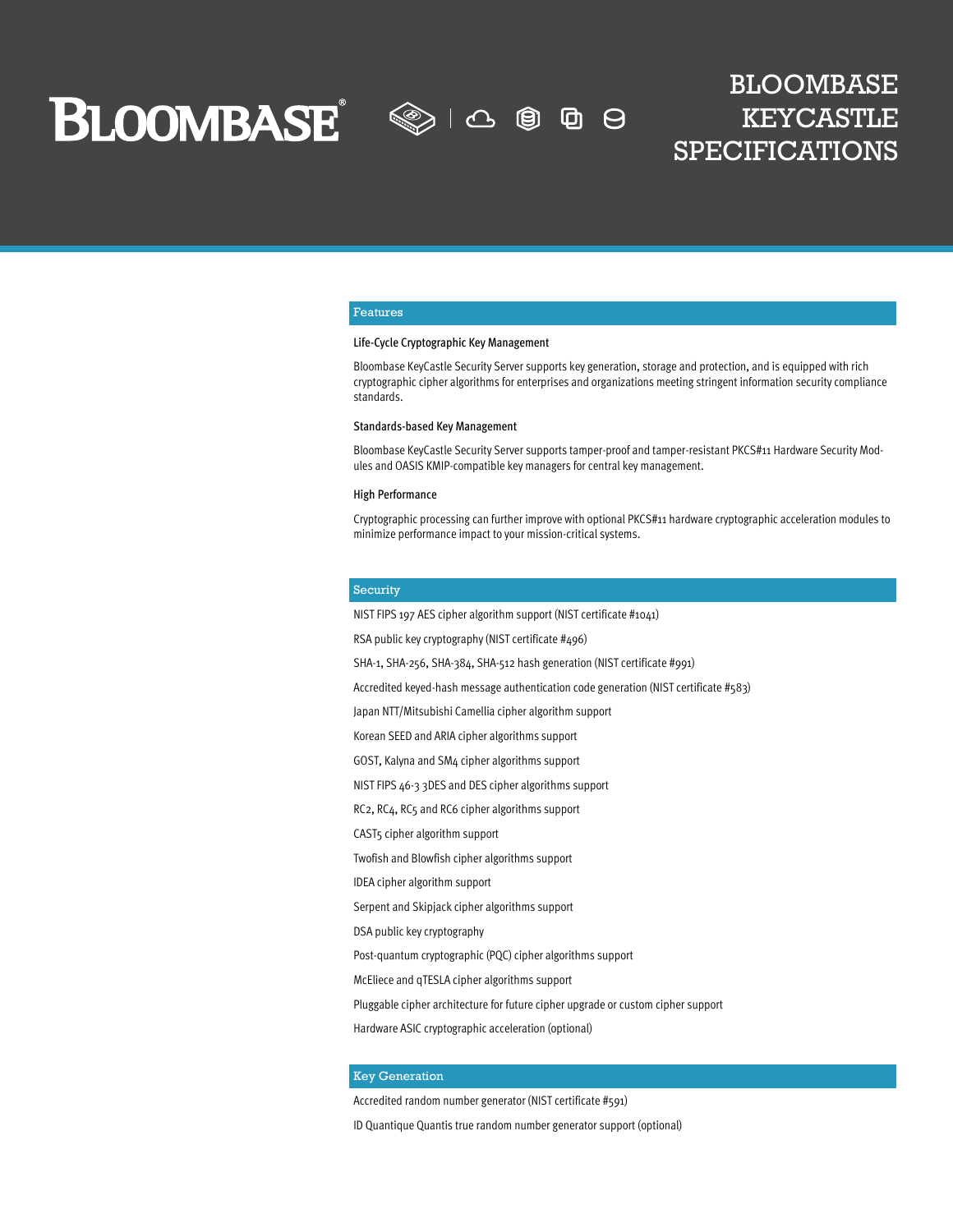**BLOOMBASE** 

 $\text{O}$ (9) **D** - 8

# BLOOMBASE KEYCASTLE SPECIFICATIONS

#### Features

#### Life-Cycle Cryptographic Key Management

Bloombase KeyCastle Security Server supports key generation, storage and protection, and is equipped with rich cryptographic cipher algorithms for enterprises and organizations meeting stringent information security compliance standards.

#### Standards-based Key Management

Bloombase KeyCastle Security Server supports tamper-proof and tamper-resistant PKCS#11 Hardware Security Modules and OASIS KMIP-compatible key managers for central key management.

#### High Performance

Cryptographic processing can further improve with optional PKCS#11 hardware cryptographic acceleration modules to minimize performance impact to your mission-critical systems.

#### Security

NIST FIPS 197 AES cipher algorithm support (NIST certificate #1041)

RSA public key cryptography (NIST certificate #496)

SHA-1, SHA-256, SHA-384, SHA-512 hash generation (NIST certificate #991)

Accredited keyed-hash message authentication code generation (NIST certificate #583)

Japan NTT/Mitsubishi Camellia cipher algorithm support

Korean SEED and ARIA cipher algorithms support

GOST, Kalyna and SM4 cipher algorithms support

NIST FIPS 46-3 3DES and DES cipher algorithms support

RC2, RC4, RC5 and RC6 cipher algorithms support

CAST5 cipher algorithm support

Twofish and Blowfish cipher algorithms support

IDEA cipher algorithm support

Serpent and Skipjack cipher algorithms support

DSA public key cryptography

Post-quantum cryptographic (PQC) cipher algorithms support

McEliece and qTESLA cipher algorithms support

Pluggable cipher architecture for future cipher upgrade or custom cipher support

Hardware ASIC cryptographic acceleration (optional)

#### Key Generation

Accredited random number generator (NIST certificate #591)

ID Quantique Quantis true random number generator support (optional)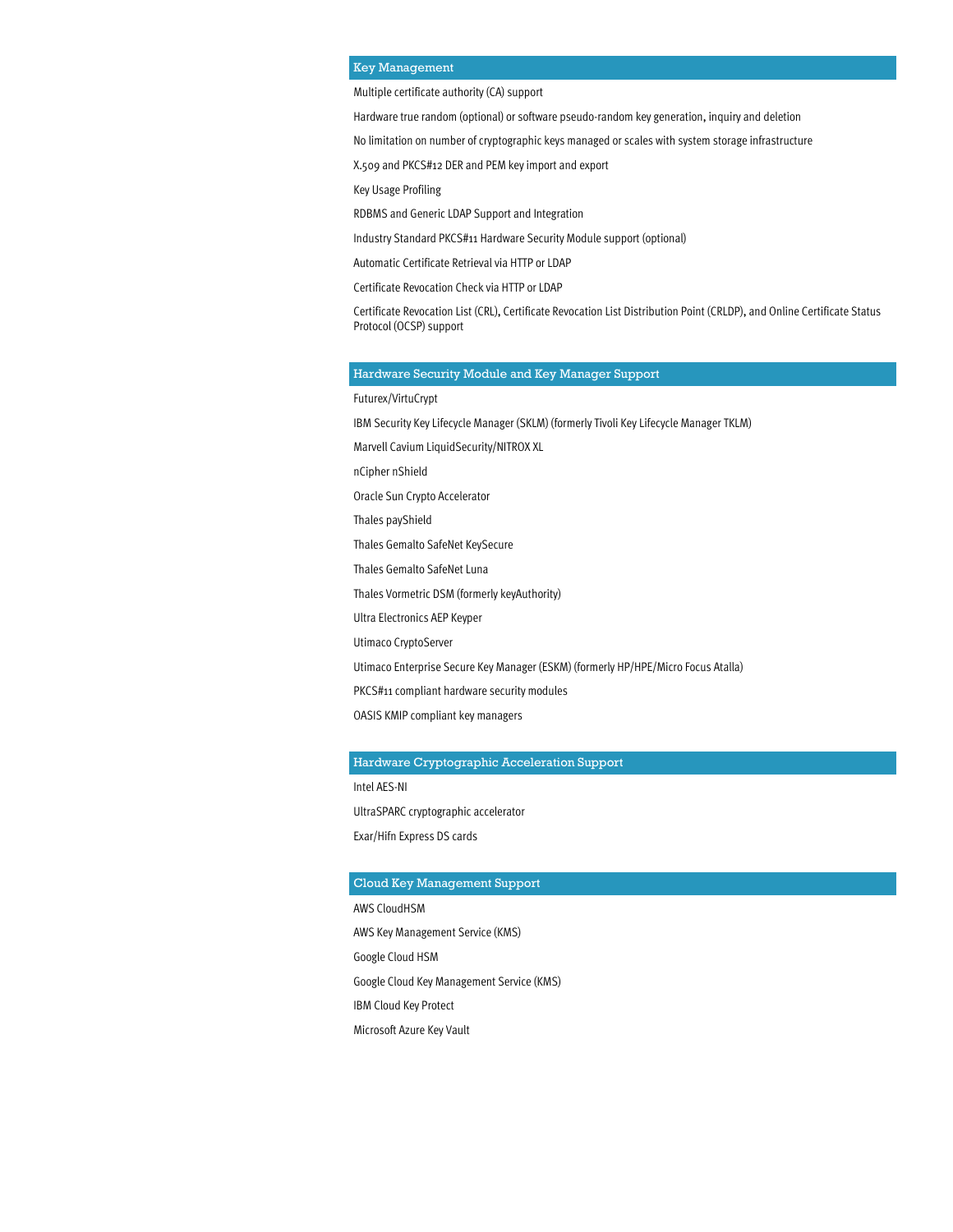# Key Management

Multiple certificate authority (CA) support

Hardware true random (optional) or software pseudo-random key generation, inquiry and deletion

No limitation on number of cryptographic keys managed or scales with system storage infrastructure

X.509 and PKCS#12 DER and PEM key import and export

Key Usage Profiling

RDBMS and Generic LDAP Support and Integration

Industry Standard PKCS#11 Hardware Security Module support (optional)

Automatic Certificate Retrieval via HTTP or LDAP

Certificate Revocation Check via HTTP or LDAP

Certificate Revocation List (CRL), Certificate Revocation List Distribution Point (CRLDP), and Online Certificate Status Protocol (OCSP) support

#### Hardware Security Module and Key Manager Support

Futurex/VirtuCrypt

IBM Security Key Lifecycle Manager (SKLM) (formerly Tivoli Key Lifecycle Manager TKLM)

Marvell Cavium LiquidSecurity/NITROX XL

nCipher nShield

Oracle Sun Crypto Accelerator

Thales payShield

Thales Gemalto SafeNet KeySecure

Thales Gemalto SafeNet Luna

Thales Vormetric DSM (formerly keyAuthority)

Ultra Electronics AEP Keyper

Utimaco CryptoServer

Utimaco Enterprise Secure Key Manager (ESKM) (formerly HP/HPE/Micro Focus Atalla)

PKCS#11 compliant hardware security modules

OASIS KMIP compliant key managers

#### Hardware Cryptographic Acceleration Support

Intel AES-NI UltraSPARC cryptographic accelerator Exar/Hifn Express DS cards

# Cloud Key Management Support

AWS CloudHSM AWS Key Management Service (KMS) Google Cloud HSM Google Cloud Key Management Service (KMS) IBM Cloud Key Protect Microsoft Azure Key Vault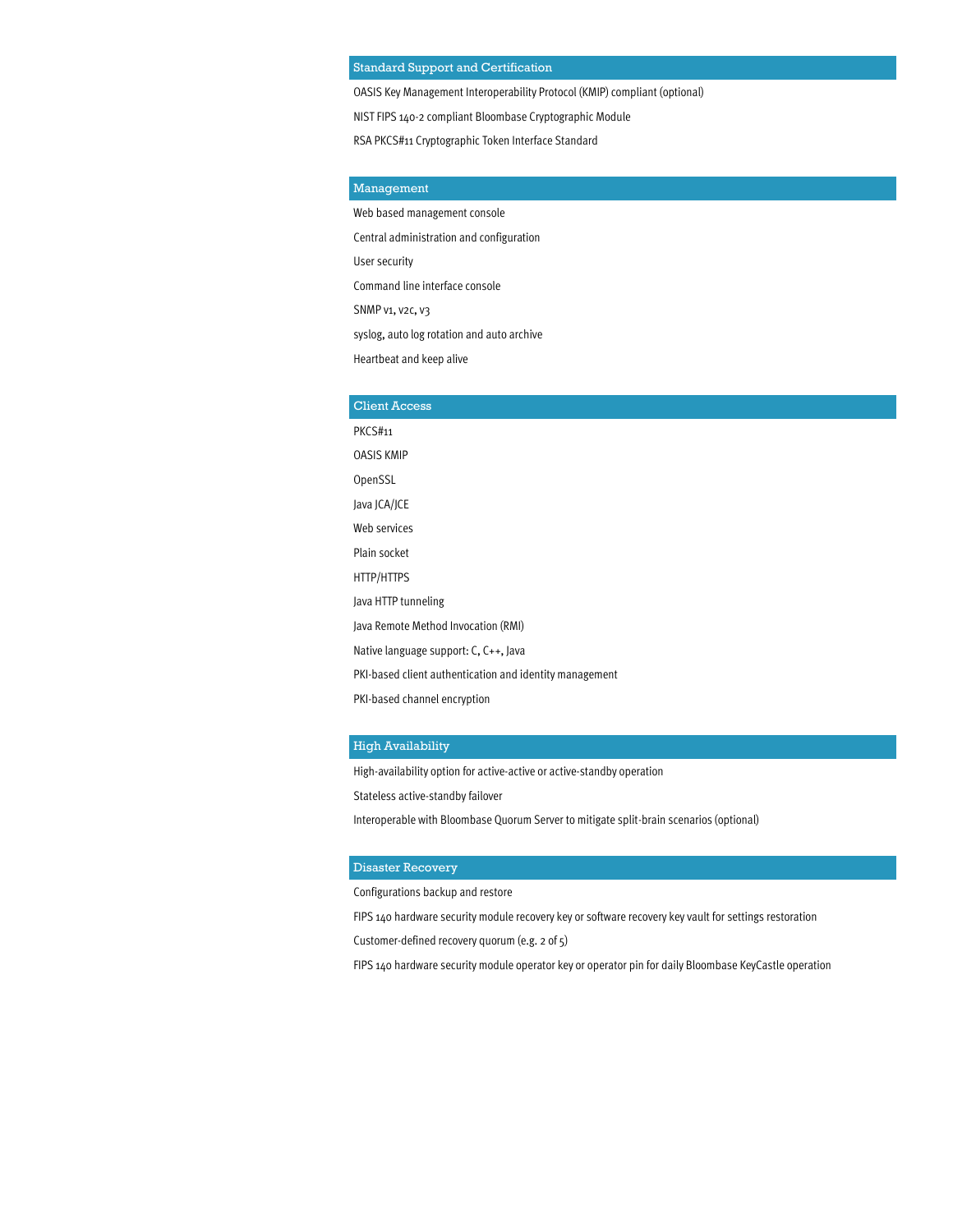# Standard Support and Certification

OASIS Key Management Interoperability Protocol (KMIP) compliant (optional)

NIST FIPS 140-2 compliant Bloombase Cryptographic Module

RSA PKCS#11 Cryptographic Token Interface Standard

# Management

Web based management console Central administration and configuration

User security

Command line interface console

SNMP v1, v2c, v3

syslog, auto log rotation and auto archive

Heartbeat and keep alive

#### Client Access

PKCS#11 OASIS KMIP OpenSSL Java JCA/JCE Web services Plain socket HTTP/HTTPS Java HTTP tunneling Java Remote Method Invocation (RMI) Native language support: C, C++, Java PKI-based client authentication and identity management PKI-based channel encryption

# High Availability

High-availability option for active-active or active-standby operation

Stateless active-standby failover

Interoperable with Bloombase Quorum Server to mitigate split-brain scenarios (optional)

#### Disaster Recovery

Configurations backup and restore

FIPS 140 hardware security module recovery key or software recovery key vault for settings restoration

Customer-defined recovery quorum (e.g. 2 of 5)

FIPS 140 hardware security module operator key or operator pin for daily Bloombase KeyCastle operation